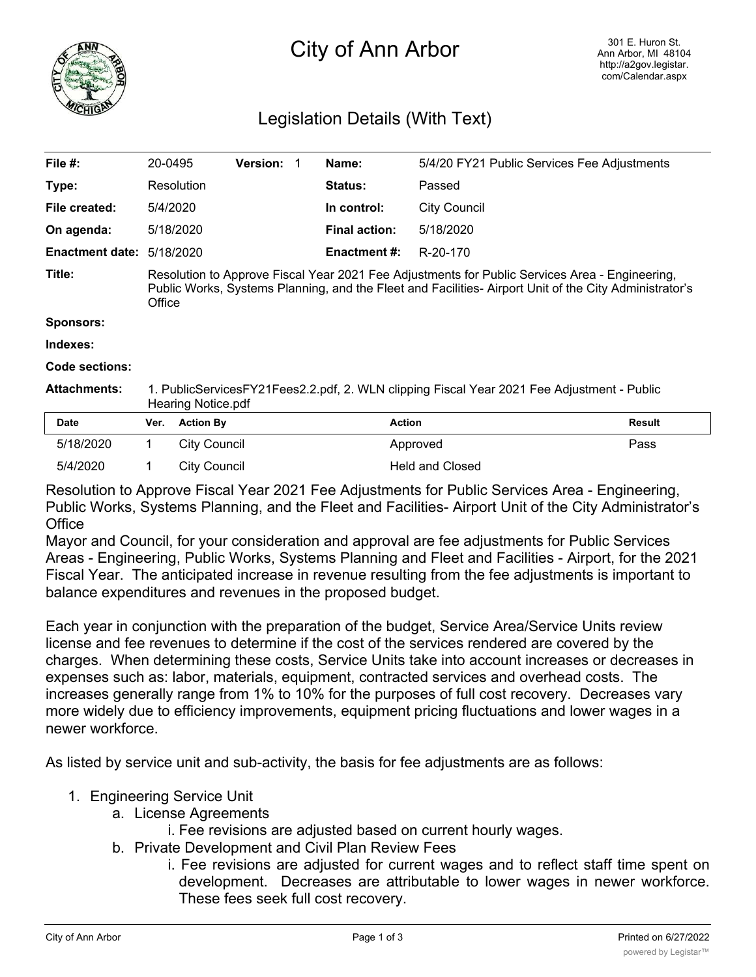

# City of Ann Arbor

# Legislation Details (With Text)

| File $#$ :             | 20-0495                                                                                                                                                                                                            |                     | <b>Version: 1</b> |  | Name:                | 5/4/20 FY21 Public Services Fee Adjustments |               |
|------------------------|--------------------------------------------------------------------------------------------------------------------------------------------------------------------------------------------------------------------|---------------------|-------------------|--|----------------------|---------------------------------------------|---------------|
| Type:                  |                                                                                                                                                                                                                    | Resolution          |                   |  | <b>Status:</b>       | Passed                                      |               |
| File created:          |                                                                                                                                                                                                                    | 5/4/2020            |                   |  | In control:          | <b>City Council</b>                         |               |
| On agenda:             |                                                                                                                                                                                                                    | 5/18/2020           |                   |  | <b>Final action:</b> | 5/18/2020                                   |               |
| <b>Enactment date:</b> |                                                                                                                                                                                                                    | 5/18/2020           |                   |  | <b>Enactment #:</b>  | R-20-170                                    |               |
| Title:                 | Resolution to Approve Fiscal Year 2021 Fee Adjustments for Public Services Area - Engineering,<br>Public Works, Systems Planning, and the Fleet and Facilities- Airport Unit of the City Administrator's<br>Office |                     |                   |  |                      |                                             |               |
| <b>Sponsors:</b>       |                                                                                                                                                                                                                    |                     |                   |  |                      |                                             |               |
| Indexes:               |                                                                                                                                                                                                                    |                     |                   |  |                      |                                             |               |
| <b>Code sections:</b>  |                                                                                                                                                                                                                    |                     |                   |  |                      |                                             |               |
| <b>Attachments:</b>    | 1. PublicServicesFY21Fees2.2.pdf, 2. WLN clipping Fiscal Year 2021 Fee Adjustment - Public<br>Hearing Notice pdf                                                                                                   |                     |                   |  |                      |                                             |               |
| <b>Date</b>            | Ver.                                                                                                                                                                                                               | <b>Action By</b>    |                   |  |                      | <b>Action</b>                               | <b>Result</b> |
| 5/18/2020              | 1.                                                                                                                                                                                                                 | <b>City Council</b> |                   |  |                      | Approved                                    | Pass          |
| 5/4/2020               |                                                                                                                                                                                                                    | <b>City Council</b> |                   |  |                      | <b>Held and Closed</b>                      |               |

Resolution to Approve Fiscal Year 2021 Fee Adjustments for Public Services Area - Engineering, Public Works, Systems Planning, and the Fleet and Facilities- Airport Unit of the City Administrator's **Office** 

Mayor and Council, for your consideration and approval are fee adjustments for Public Services Areas - Engineering, Public Works, Systems Planning and Fleet and Facilities - Airport, for the 2021 Fiscal Year. The anticipated increase in revenue resulting from the fee adjustments is important to balance expenditures and revenues in the proposed budget.

Each year in conjunction with the preparation of the budget, Service Area/Service Units review license and fee revenues to determine if the cost of the services rendered are covered by the charges. When determining these costs, Service Units take into account increases or decreases in expenses such as: labor, materials, equipment, contracted services and overhead costs. The increases generally range from 1% to 10% for the purposes of full cost recovery. Decreases vary more widely due to efficiency improvements, equipment pricing fluctuations and lower wages in a newer workforce.

As listed by service unit and sub-activity, the basis for fee adjustments are as follows:

## 1. Engineering Service Unit

- a. License Agreements
	- i. Fee revisions are adjusted based on current hourly wages.
- b. Private Development and Civil Plan Review Fees
	- i. Fee revisions are adjusted for current wages and to reflect staff time spent on development. Decreases are attributable to lower wages in newer workforce. These fees seek full cost recovery.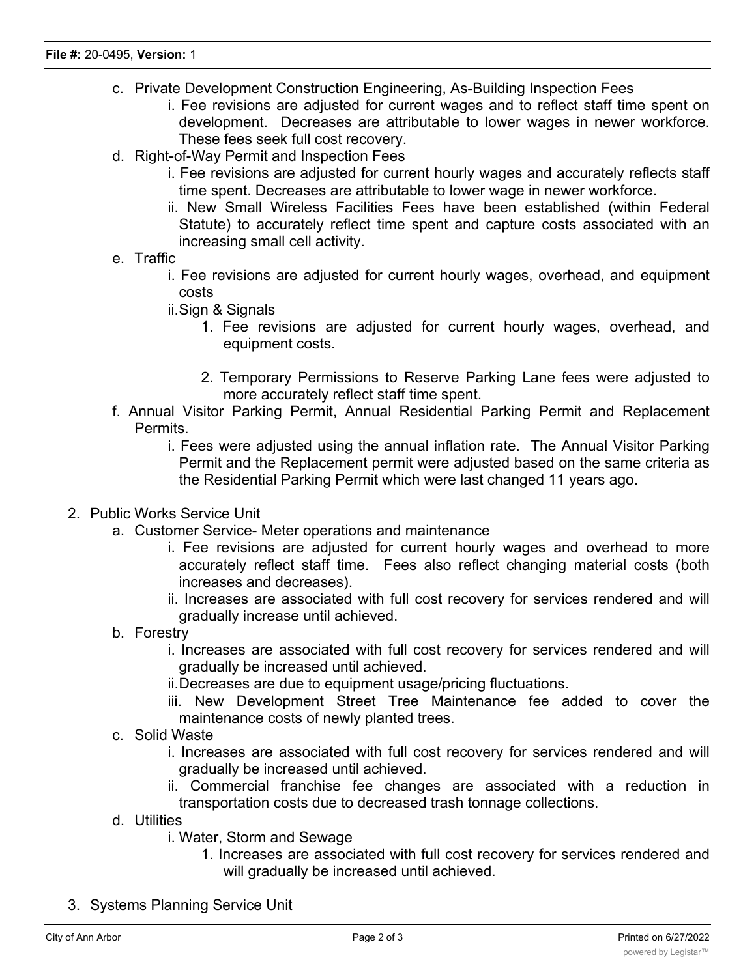- c. Private Development Construction Engineering, As-Building Inspection Fees
	- i. Fee revisions are adjusted for current wages and to reflect staff time spent on development. Decreases are attributable to lower wages in newer workforce. These fees seek full cost recovery.
- d. Right-of-Way Permit and Inspection Fees
	- i. Fee revisions are adjusted for current hourly wages and accurately reflects staff time spent. Decreases are attributable to lower wage in newer workforce.
	- ii. New Small Wireless Facilities Fees have been established (within Federal Statute) to accurately reflect time spent and capture costs associated with an increasing small cell activity.
- e. Traffic
	- i. Fee revisions are adjusted for current hourly wages, overhead, and equipment costs
	- ii.Sign & Signals
		- 1. Fee revisions are adjusted for current hourly wages, overhead, and equipment costs.
		- 2. Temporary Permissions to Reserve Parking Lane fees were adjusted to more accurately reflect staff time spent.
- f. Annual Visitor Parking Permit, Annual Residential Parking Permit and Replacement Permits.
	- i. Fees were adjusted using the annual inflation rate. The Annual Visitor Parking Permit and the Replacement permit were adjusted based on the same criteria as the Residential Parking Permit which were last changed 11 years ago.
- 2. Public Works Service Unit
	- a. Customer Service- Meter operations and maintenance
		- i. Fee revisions are adjusted for current hourly wages and overhead to more accurately reflect staff time. Fees also reflect changing material costs (both increases and decreases).
		- ii. Increases are associated with full cost recovery for services rendered and will gradually increase until achieved.
	- b. Forestry
		- i. Increases are associated with full cost recovery for services rendered and will gradually be increased until achieved.
		- ii.Decreases are due to equipment usage/pricing fluctuations.
		- iii. New Development Street Tree Maintenance fee added to cover the maintenance costs of newly planted trees.
	- c. Solid Waste
		- i. Increases are associated with full cost recovery for services rendered and will gradually be increased until achieved.
		- ii. Commercial franchise fee changes are associated with a reduction in transportation costs due to decreased trash tonnage collections.
	- d. Utilities
		- i. Water, Storm and Sewage
			- 1. Increases are associated with full cost recovery for services rendered and will gradually be increased until achieved.
- 3. Systems Planning Service Unit